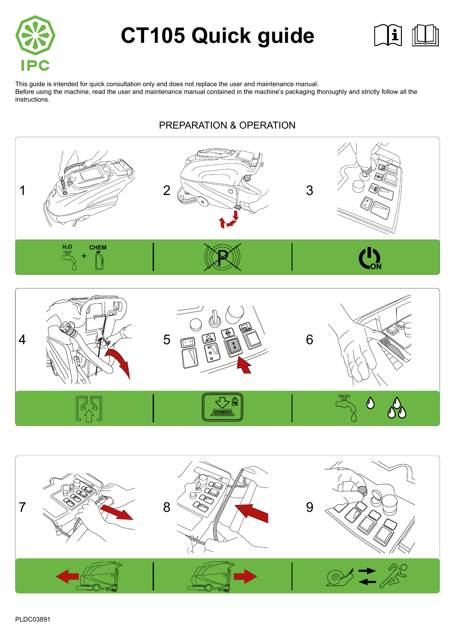

# **CT105 Quick guide**



This guide is intended for quick consultation only and does not replace the user and maintenance manual. Before using the machine, read the user and maintenance manual contained in the machine's packaging thoroughly and strictly follow all the instructions. And the contract of the contract of the contract of the contract of the contract of the contract o

# PREPARATION & OPERATION







PLDC03891